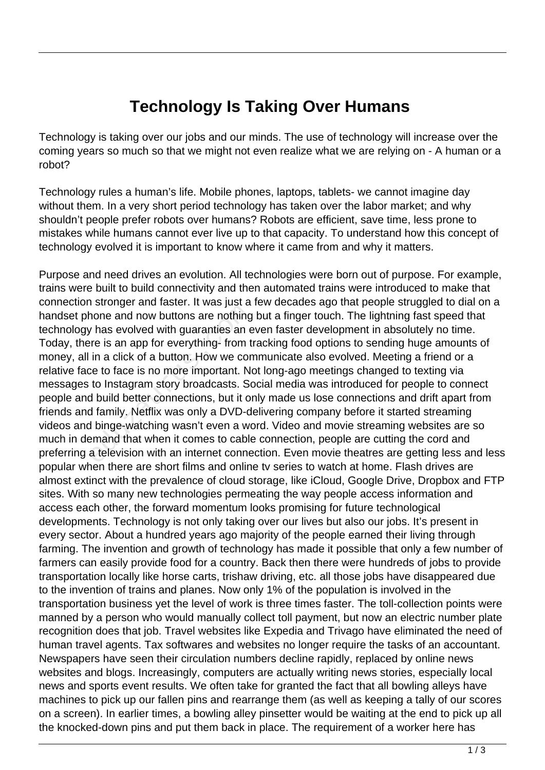## **Technology Is Taking Over Humans**

Technology is taking over our jobs and our minds. The use of technology will increase over the coming years so much so that we might not even realize what we are relying on - A human or a robot?

Technology rules a human's life. Mobile phones, laptops, tablets- we cannot imagine day without them. In a very short period technology has taken over the labor market; and why shouldn't people prefer robots over humans? Robots are efficient, save time, less prone to mistakes while humans cannot ever live up to that capacity. To understand how this concept of technology evolved it is important to know where it came from and why it matters.

Purpose and need drives an evolution. All technologies were born out of purpose. For example, trains were built to build connectivity and then automated trains were introduced to make that connection stronger and faster. It was just a few decades ago that people struggled to dial on a handset phone and now buttons are nothing but a finger touch. The lightning fast speed that technology has evolved with guaranties an even faster development in absolutely no time. Today, there is an app for everything- from tracking food options to sending huge amounts of money, all in a click of a button. How we communicate also evolved. Meeting a friend or a relative face to face is no more important. Not long-ago meetings changed to texting via messages to Instagram story broadcasts. Social media was introduced for people to connect people and build better connections, but it only made us lose connections and drift apart from friends and family. Netflix was only a DVD-delivering company before it started streaming videos and binge-watching wasn't even a word. Video and movie streaming websites are so much in demand that when it comes to cable connection, people are cutting the cord and preferring a television with an internet connection. Even movie theatres are getting less and less popular when there are short films and online tv series to watch at home. Flash drives are almost extinct with the prevalence of cloud storage, like iCloud, Google Drive, Dropbox and FTP sites. With so many new technologies permeating the way people access information and access each other, the forward momentum looks promising for future technological developments. Technology is not only taking over our lives but also our jobs. It's present in every sector. About a hundred years ago majority of the people earned their living through farming. The invention and growth of technology has made it possible that only a few number of farmers can easily provide food for a country. Back then there were hundreds of jobs to provide transportation locally like horse carts, trishaw driving, etc. all those jobs have disappeared due to the invention of trains and planes. Now only 1% of the population is involved in the transportation business yet the level of work is three times faster. The toll-collection points were manned by a person who would manually collect toll payment, but now an electric number plate recognition does that job. Travel websites like Expedia and Trivago have eliminated the need of human travel agents. Tax softwares and websites no longer require the tasks of an accountant. Newspapers have seen their circulation numbers decline rapidly, replaced by online news websites and blogs. Increasingly, computers are actually writing news stories, especially local news and sports event results. We often take for granted the fact that all bowling alleys have machines to pick up our fallen pins and rearrange them (as well as keeping a tally of our scores on a screen). In earlier times, a bowling alley pinsetter would be waiting at the end to pick up all the knocked-down pins and put them back in place. The requirement of a worker here has The and now buttons are nothing<br>that evolved with guaranties an exercise and now buttons are nothing<br>tree is an app for everything-from t<br>in a click of a button. How we conce to face is no more important. Not<br>to Instagram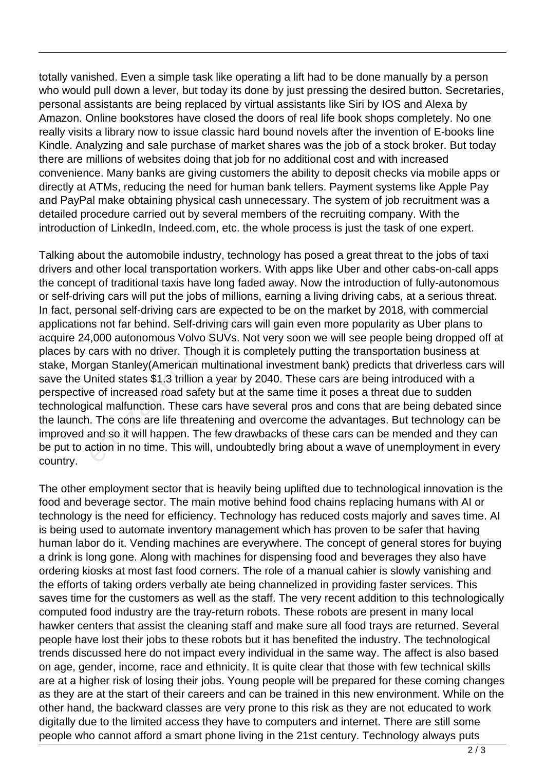totally vanished. Even a simple task like operating a lift had to be done manually by a person who would pull down a lever, but today its done by just pressing the desired button. Secretaries, personal assistants are being replaced by virtual assistants like Siri by IOS and Alexa by Amazon. Online bookstores have closed the doors of real life book shops completely. No one really visits a library now to issue classic hard bound novels after the invention of E-books line Kindle. Analyzing and sale purchase of market shares was the job of a stock broker. But today there are millions of websites doing that job for no additional cost and with increased convenience. Many banks are giving customers the ability to deposit checks via mobile apps or directly at ATMs, reducing the need for human bank tellers. Payment systems like Apple Pay and PayPal make obtaining physical cash unnecessary. The system of job recruitment was a detailed procedure carried out by several members of the recruiting company. With the introduction of LinkedIn, Indeed.com, etc. the whole process is just the task of one expert.

Talking about the automobile industry, technology has posed a great threat to the jobs of taxi drivers and other local transportation workers. With apps like Uber and other cabs-on-call apps the concept of traditional taxis have long faded away. Now the introduction of fully-autonomous or self-driving cars will put the jobs of millions, earning a living driving cabs, at a serious threat. In fact, personal self-driving cars are expected to be on the market by 2018, with commercial applications not far behind. Self-driving cars will gain even more popularity as Uber plans to acquire 24,000 autonomous Volvo SUVs. Not very soon we will see people being dropped off at places by cars with no driver. Though it is completely putting the transportation business at stake, Morgan Stanley(American multinational investment bank) predicts that driverless cars will save the United states \$1.3 trillion a year by 2040. These cars are being introduced with a perspective of increased road safety but at the same time it poses a threat due to sudden technological malfunction. These cars have several pros and cons that are being debated since the launch. The cons are life threatening and overcome the advantages. But technology can be improved and so it will happen. The few drawbacks of these cars can be mended and they can be put to action in no time. This will, undoubtedly bring about a wave of unemployment in every country. refluited and self-driving cars are expecters and far behind. Self-driving cars ,000 autonomous Volvo SUVs. Necars with no driver. Though it is correspondent States \$1.3 trillion a year by the of increased road safety but

The other employment sector that is heavily being uplifted due to technological innovation is the food and beverage sector. The main motive behind food chains replacing humans with AI or technology is the need for efficiency. Technology has reduced costs majorly and saves time. AI is being used to automate inventory management which has proven to be safer that having human labor do it. Vending machines are everywhere. The concept of general stores for buying a drink is long gone. Along with machines for dispensing food and beverages they also have ordering kiosks at most fast food corners. The role of a manual cahier is slowly vanishing and the efforts of taking orders verbally ate being channelized in providing faster services. This saves time for the customers as well as the staff. The very recent addition to this technologically computed food industry are the tray-return robots. These robots are present in many local hawker centers that assist the cleaning staff and make sure all food trays are returned. Several people have lost their jobs to these robots but it has benefited the industry. The technological trends discussed here do not impact every individual in the same way. The affect is also based on age, gender, income, race and ethnicity. It is quite clear that those with few technical skills are at a higher risk of losing their jobs. Young people will be prepared for these coming changes as they are at the start of their careers and can be trained in this new environment. While on the other hand, the backward classes are very prone to this risk as they are not educated to work digitally due to the limited access they have to computers and internet. There are still some people who cannot afford a smart phone living in the 21st century. Technology always puts